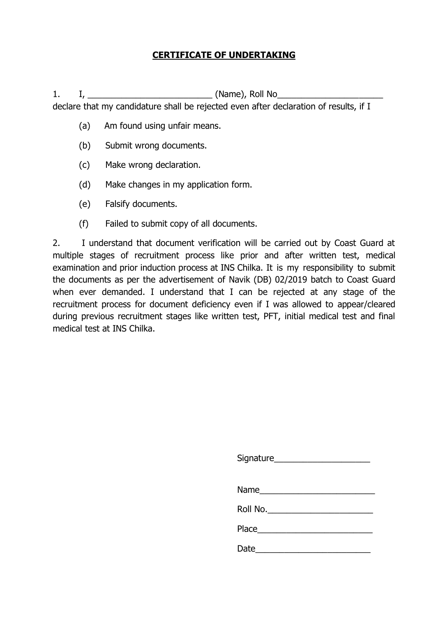## **CERTIFICATE OF UNDERTAKING**

1. I, \_\_\_\_\_\_\_\_\_\_\_\_\_\_\_\_\_\_\_\_\_\_\_\_\_\_ (Name), Roll No\_\_\_\_\_\_\_\_\_\_\_\_\_\_\_\_\_\_\_\_\_\_ declare that my candidature shall be rejected even after declaration of results, if I

- (a) Am found using unfair means.
- (b) Submit wrong documents.
- (c) Make wrong declaration.
- (d) Make changes in my application form.
- (e) Falsify documents.
- (f) Failed to submit copy of all documents.

2. I understand that document verification will be carried out by Coast Guard at multiple stages of recruitment process like prior and after written test, medical examination and prior induction process at INS Chilka. It is my responsibility to submit the documents as per the advertisement of Navik (DB) 02/2019 batch to Coast Guard when ever demanded. I understand that I can be rejected at any stage of the recruitment process for document deficiency even if I was allowed to appear/cleared during previous recruitment stages like written test, PFT, initial medical test and final medical test at INS Chilka.